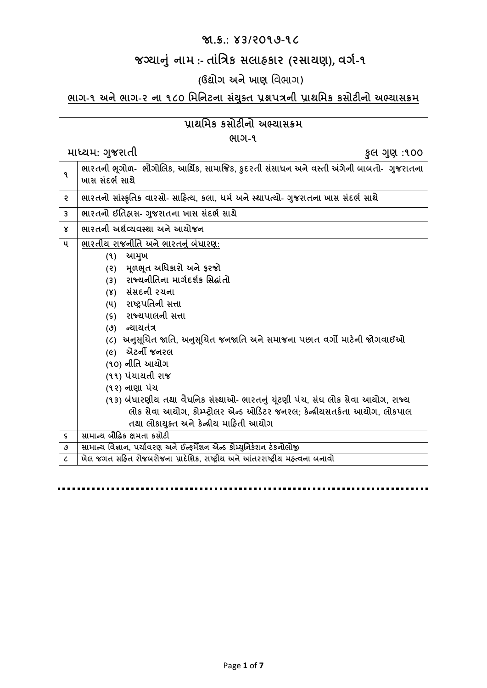#### **જા.ક્ર.: ૪૩/૨૦૧૭-૧૮**

## **જગ્યાન ું નામ :- તાુંત્રિક સલાહકાર (રસાયણ), વર્ગ-૧**

## **(ઉદ્યોર્ અનેખાણ** વિભાગ)

## **ભાર્-૧ અનેભાર્-૨ ના ૧૮૦ ત્રમત્રનટના સયું ક્ ત પ્રશ્નપિની પ્રાથત્રમક કસોટીનો અભ્યાસક્રમ**

| પ્રાથમિક કસોટીનો અભ્યાસક્રમ |                                                                                                             |  |
|-----------------------------|-------------------------------------------------------------------------------------------------------------|--|
| ભાગ-૧                       |                                                                                                             |  |
|                             | માધ્યમ: ગુજરાતી<br>કુલ ગુણ :૧૦૦                                                                             |  |
| ۹                           | ભારતની ભૂગોળ-  ભૌગોલિક, આર્થિક, સામાજિક, કુદરતી સંસાધન અને વસ્તી અંગેની બાબતો-  ગુજરાતના<br>ખાસ સંદર્ભ સાથે |  |
| २                           | ભારતનો સાંસ્કૃતિક વારસો- સાહિત્ય, કલા, ધર્મ અને સ્થાપત્યો- ગુજરાતના ખાસ સંદર્ભ સાથે                         |  |
| 3                           | ભારતનો ઈતિહ્રાસ- ગુજરાતના ખાસ સંદર્ભ સાથે                                                                   |  |
| x                           | ભારતની અર્થવ્યવસ્થા અને આયોજન                                                                               |  |
| પ                           | ભારતીય રાજનીતિ અને ભારતનું બંધારણ:<br>આમુખ<br>(9)                                                           |  |
|                             | મૂળભૂત અધિકારો અને ફરજો<br>(5)                                                                              |  |
|                             | રાજ્યનીતિના માર્ગદર્શક સિદ્ધાંતો<br>(3)                                                                     |  |
|                             | (४) સંસદની રચના                                                                                             |  |
|                             | રાષ્ટ્રપતિની સત્તા<br>(પ)                                                                                   |  |
|                             | (s) રાજ્યપાલની સત્તા                                                                                        |  |
|                             | (૭) ન્યાયતંત્ર                                                                                              |  |
|                             | (૮)  અનુસૂચિત જાતિ, અનુસૂચિત જનજાતિ અને સમાજના પછાત વર્ગો માટેની જોગવાઈઓ                                    |  |
|                             | (૯) એટર્ની જનરલ                                                                                             |  |
|                             | (૧૦) નીતિ આયોગ                                                                                              |  |
|                             | (૧૧) પંચાયતી રાજ                                                                                            |  |
|                             | (૧૨) નાણા પંચ                                                                                               |  |
|                             | (૧૩) બંધારણીય તથા વૈધનિક સંસ્થાઓ- ભારતનું ચૂંટણી પંચ, સંઘ લોક સેવા આયોગ, રાજ્ય                              |  |
|                             | લોક સેવા આયોગ, કોમ્પ્ટ્રોલર એન્ડ ઓડિટર જનરલ; કેન્દ્રીયસતર્કતા આયોગ, લોકપાલ                                  |  |
|                             | તથા લોકાયુક્ત અને કેન્દ્રીય માહિતી આયોગ                                                                     |  |
| ς                           | સામાન્ય બૌદ્ધિક ક્ષમતા કસોટી                                                                                |  |
| ٯ                           | સામાન્ય વિજ્ઞાન, પર્યાવરણ અને ઈન્ફર્મેશન એન્ડ કોમ્યુનિકેશન ટેકનોલોજી                                        |  |
| L                           | ખેલ જગત સહિત રોજબરોજના પ્રાદેશિક, રાષ્ટ્રીય અને આંતરરાષ્ટ્રીય મહ્ત્વના બનાવો                                |  |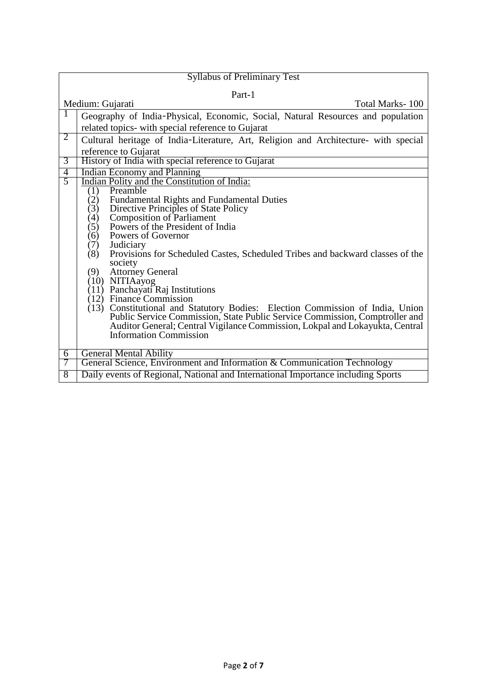| <b>Syllabus of Preliminary Test</b>                                                                    |  |  |  |
|--------------------------------------------------------------------------------------------------------|--|--|--|
| Part-1                                                                                                 |  |  |  |
| Medium: Gujarati<br>Total Marks-100                                                                    |  |  |  |
| Geography of India-Physical, Economic, Social, Natural Resources and population                        |  |  |  |
| related topics- with special reference to Gujarat                                                      |  |  |  |
| $\overline{2}$<br>Cultural heritage of India-Literature, Art, Religion and Architecture- with special  |  |  |  |
| reference to Gujarat                                                                                   |  |  |  |
| History of India with special reference to Gujarat<br>3                                                |  |  |  |
| <b>Indian Economy and Planning</b><br>$\overline{4}$                                                   |  |  |  |
| $\overline{5}$<br>Indian Polity and the Constitution of India:                                         |  |  |  |
| Preamble<br>(1)                                                                                        |  |  |  |
| <b>Fundamental Rights and Fundamental Duties</b><br>(2)<br>(3)<br>Directive Principles of State Policy |  |  |  |
| (4)                                                                                                    |  |  |  |
| Composition of Parliament<br>Powers of the President of India<br>(5)                                   |  |  |  |
| (6)<br>Powers of Governor                                                                              |  |  |  |
| (7)<br>Judiciary                                                                                       |  |  |  |
| (8)<br>Provisions for Scheduled Castes, Scheduled Tribes and backward classes of the                   |  |  |  |
| society                                                                                                |  |  |  |
| <b>Attorney General</b><br>(9)                                                                         |  |  |  |
| (10) NITIAayog<br>(11) Panchayati Raj Institutions                                                     |  |  |  |
| (12) Finance Commission                                                                                |  |  |  |
| (13) Constitutional and Statutory Bodies: Election Commission of India, Union                          |  |  |  |
| Public Service Commission, State Public Service Commission, Comptroller and                            |  |  |  |
| Auditor General; Central Vigilance Commission, Lokpal and Lokayukta, Central                           |  |  |  |
| <b>Information Commission</b>                                                                          |  |  |  |
|                                                                                                        |  |  |  |
| <b>General Mental Ability</b><br>6                                                                     |  |  |  |
| General Science, Environment and Information & Communication Technology<br>7                           |  |  |  |
| Daily events of Regional, National and International Importance including Sports<br>8                  |  |  |  |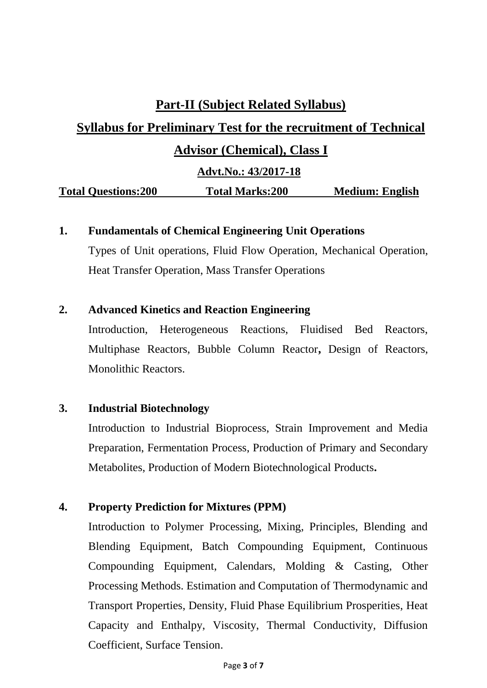### **Part-II (Subject Related Syllabus)**

# **Syllabus for Preliminary Test for the recruitment of Technical Advisor (Chemical), Class I**

 **Advt.No.: 43/2017-18**

**Total Questions:200 Total Marks:200 Medium: English** 

#### **1. Fundamentals of Chemical Engineering Unit Operations**

Types of Unit operations, Fluid Flow Operation, Mechanical Operation, Heat Transfer Operation, Mass Transfer Operations

#### **2. Advanced Kinetics and Reaction Engineering**

Introduction, Heterogeneous Reactions, Fluidised Bed Reactors, Multiphase Reactors, Bubble Column Reactor**,** Design of Reactors, Monolithic Reactors.

#### **3. Industrial Biotechnology**

Introduction to Industrial Bioprocess, Strain Improvement and Media Preparation, Fermentation Process, Production of Primary and Secondary Metabolites, Production of Modern Biotechnological Products**.**

#### **4. Property Prediction for Mixtures (PPM)**

Introduction to Polymer Processing, Mixing, Principles, Blending and Blending Equipment, Batch Compounding Equipment, Continuous Compounding Equipment, Calendars, Molding & Casting, Other Processing Methods. Estimation and Computation of Thermodynamic and Transport Properties, Density, Fluid Phase Equilibrium Prosperities, Heat Capacity and Enthalpy, Viscosity, Thermal Conductivity, Diffusion Coefficient, Surface Tension.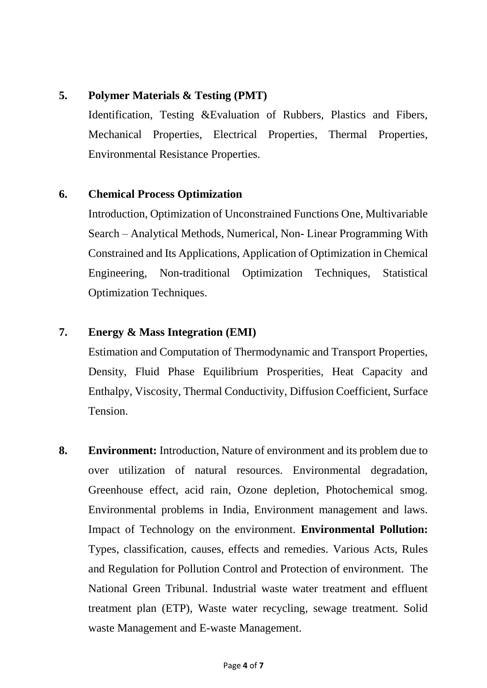#### **5. Polymer Materials & Testing (PMT)**

Identification, Testing &Evaluation of Rubbers, Plastics and Fibers, Mechanical Properties, Electrical Properties, Thermal Properties, Environmental Resistance Properties.

#### **6. Chemical Process Optimization**

Introduction, Optimization of Unconstrained Functions One, Multivariable Search – Analytical Methods, Numerical, Non- Linear Programming With Constrained and Its Applications, Application of Optimization in Chemical Engineering, Non-traditional Optimization Techniques, Statistical Optimization Techniques.

#### **7. Energy & Mass Integration (EMI)**

Estimation and Computation of Thermodynamic and Transport Properties, Density, Fluid Phase Equilibrium Prosperities, Heat Capacity and Enthalpy, Viscosity, Thermal Conductivity, Diffusion Coefficient, Surface Tension.

**8. Environment:** Introduction, Nature of environment and its problem due to over utilization of natural resources. Environmental degradation, Greenhouse effect, acid rain, Ozone depletion, Photochemical smog. Environmental problems in India, Environment management and laws. Impact of Technology on the environment. **Environmental Pollution:** Types, classification, causes, effects and remedies. Various Acts, Rules and Regulation for Pollution Control and Protection of environment. The National Green Tribunal. Industrial waste water treatment and effluent treatment plan (ETP), Waste water recycling, sewage treatment. Solid waste Management and E-waste Management.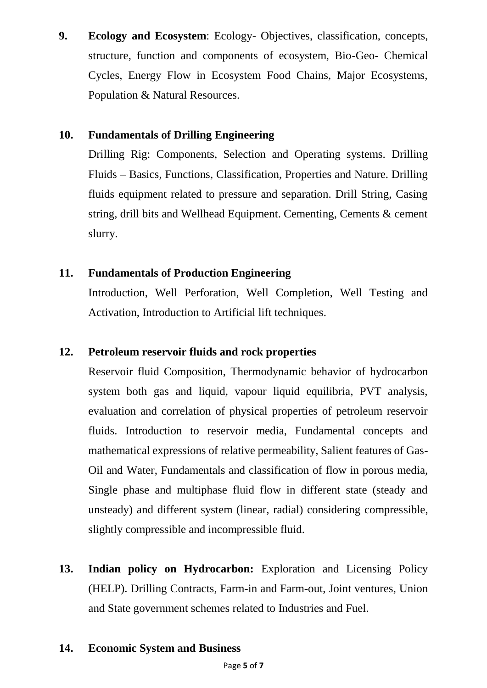**9. Ecology and Ecosystem**: Ecology- Objectives, classification, concepts, structure, function and components of ecosystem, Bio-Geo- Chemical Cycles, Energy Flow in Ecosystem Food Chains, Major Ecosystems, Population & Natural Resources.

#### **10. Fundamentals of Drilling Engineering**

Drilling Rig: Components, Selection and Operating systems. Drilling Fluids – Basics, Functions, Classification, Properties and Nature. Drilling fluids equipment related to pressure and separation. Drill String, Casing string, drill bits and Wellhead Equipment. Cementing, Cements & cement slurry.

#### **11. Fundamentals of Production Engineering**

Introduction, Well Perforation, Well Completion, Well Testing and Activation, Introduction to Artificial lift techniques.

#### **12. Petroleum reservoir fluids and rock properties**

Reservoir fluid Composition, Thermodynamic behavior of hydrocarbon system both gas and liquid, vapour liquid equilibria, PVT analysis, evaluation and correlation of physical properties of petroleum reservoir fluids. Introduction to reservoir media, Fundamental concepts and mathematical expressions of relative permeability, Salient features of Gas-Oil and Water, Fundamentals and classification of flow in porous media, Single phase and multiphase fluid flow in different state (steady and unsteady) and different system (linear, radial) considering compressible, slightly compressible and incompressible fluid.

**13. Indian policy on Hydrocarbon:** Exploration and Licensing Policy (HELP). Drilling Contracts, Farm-in and Farm-out, Joint ventures, Union and State government schemes related to Industries and Fuel.

#### **14. Economic System and Business**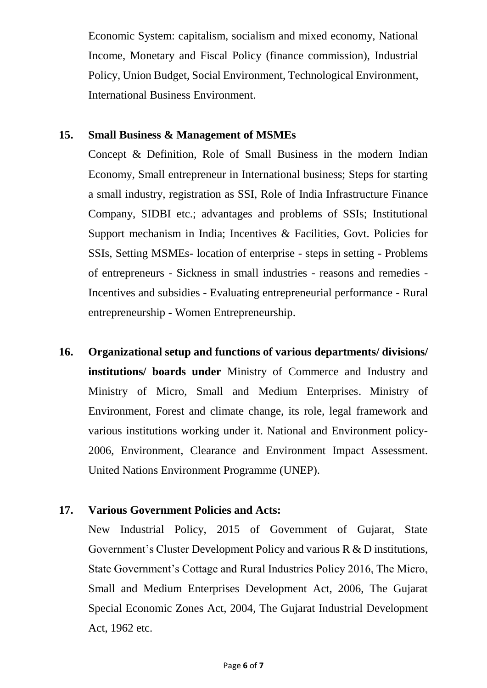Economic System: capitalism, socialism and mixed economy, National Income, Monetary and Fiscal Policy (finance commission), Industrial Policy, Union Budget, Social Environment, Technological Environment, International Business Environment.

#### **15. Small Business & Management of MSMEs**

Concept & Definition, Role of Small Business in the modern Indian Economy, Small entrepreneur in International business; Steps for starting a small industry, registration as SSI, Role of India Infrastructure Finance Company, SIDBI etc.; advantages and problems of SSIs; Institutional Support mechanism in India; Incentives & Facilities, Govt. Policies for SSIs, Setting MSMEs- location of enterprise - steps in setting - Problems of entrepreneurs - Sickness in small industries - reasons and remedies - Incentives and subsidies - Evaluating entrepreneurial performance - Rural entrepreneurship - Women Entrepreneurship.

**16. Organizational setup and functions of various departments/ divisions/ institutions/ boards under** Ministry of Commerce and Industry and Ministry of Micro, Small and Medium Enterprises. Ministry of Environment, Forest and climate change, its role, legal framework and various institutions working under it. National and Environment policy-2006, Environment, Clearance and Environment Impact Assessment. United Nations Environment Programme (UNEP).

#### **17. Various Government Policies and Acts:**

New Industrial Policy, 2015 of Government of Gujarat, State Government's Cluster Development Policy and various R & D institutions, State Government's Cottage and Rural Industries Policy 2016, The Micro, Small and Medium Enterprises Development Act, 2006, The Gujarat Special Economic Zones Act, 2004, The Gujarat Industrial Development Act, 1962 etc.